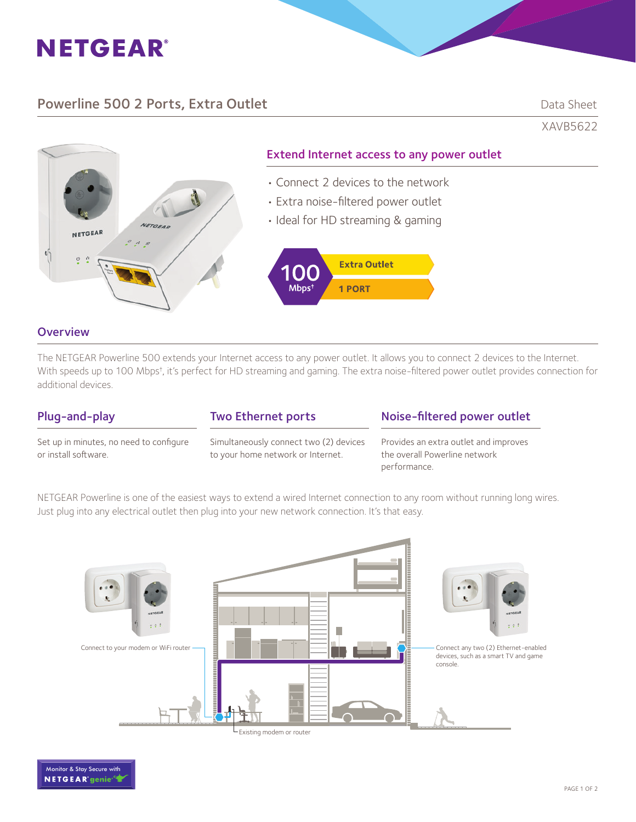

# Powerline 500 2 Ports, Extra Outlet **Data Sheet** Data Sheet

XAVB5622



## **Overview**

The NETGEAR Powerline 500 extends your Internet access to any power outlet. It allows you to connect 2 devices to the Internet. With speeds up to 100 Mbps<sup>†</sup>, it's perfect for HD streaming and gaming. The extra noise-filtered power outlet provides connection for additional devices.

# Plug-and-play

Two Ethernet ports

Set up in minutes, no need to configure or install software.

Simultaneously connect two (2) devices to your home network or Internet.

# Noise-filtered power outlet

Provides an extra outlet and improves the overall Powerline network performance.

NETGEAR Powerline is one of the easiest ways to extend a wired Internet connection to any room without running long wires. Just plug into any electrical outlet then plug into your new network connection. It's that easy.